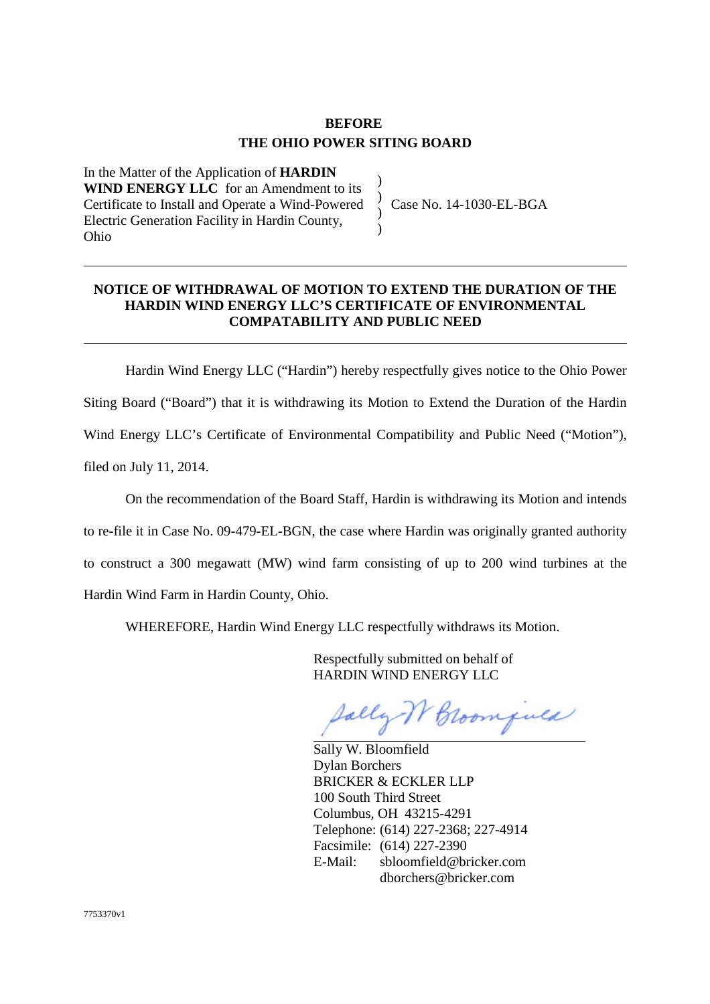## **BEFORE THE OHIO POWER SITING BOARD**

) ) ) )

In the Matter of the Application of **HARDIN WIND ENERGY LLC** for an Amendment to its Certificate to Install and Operate a Wind-Powered Electric Generation Facility in Hardin County, Ohio

Case No. 14-1030-EL-BGA

## **NOTICE OF WITHDRAWAL OF MOTION TO EXTEND THE DURATION OF THE HARDIN WIND ENERGY LLC'S CERTIFICATE OF ENVIRONMENTAL COMPATABILITY AND PUBLIC NEED**

Hardin Wind Energy LLC ("Hardin") hereby respectfully gives notice to the Ohio Power Siting Board ("Board") that it is withdrawing its Motion to Extend the Duration of the Hardin Wind Energy LLC's Certificate of Environmental Compatibility and Public Need ("Motion"), filed on July 11, 2014.

On the recommendation of the Board Staff, Hardin is withdrawing its Motion and intends to re-file it in Case No. 09-479-EL-BGN, the case where Hardin was originally granted authority to construct a 300 megawatt (MW) wind farm consisting of up to 200 wind turbines at the Hardin Wind Farm in Hardin County, Ohio.

WHEREFORE, Hardin Wind Energy LLC respectfully withdraws its Motion.

Respectfully submitted on behalf of HARDIN WIND ENERGY LLC

Jally W Broomfuld

Sally W. Bloomfield Dylan Borchers BRICKER & ECKLER LLP 100 South Third Street Columbus, OH 43215-4291 Telephone: (614) 227-2368; 227-4914 Facsimile: (614) 227-2390 E-Mail: sbloomfield@bricker.com dborchers@bricker.com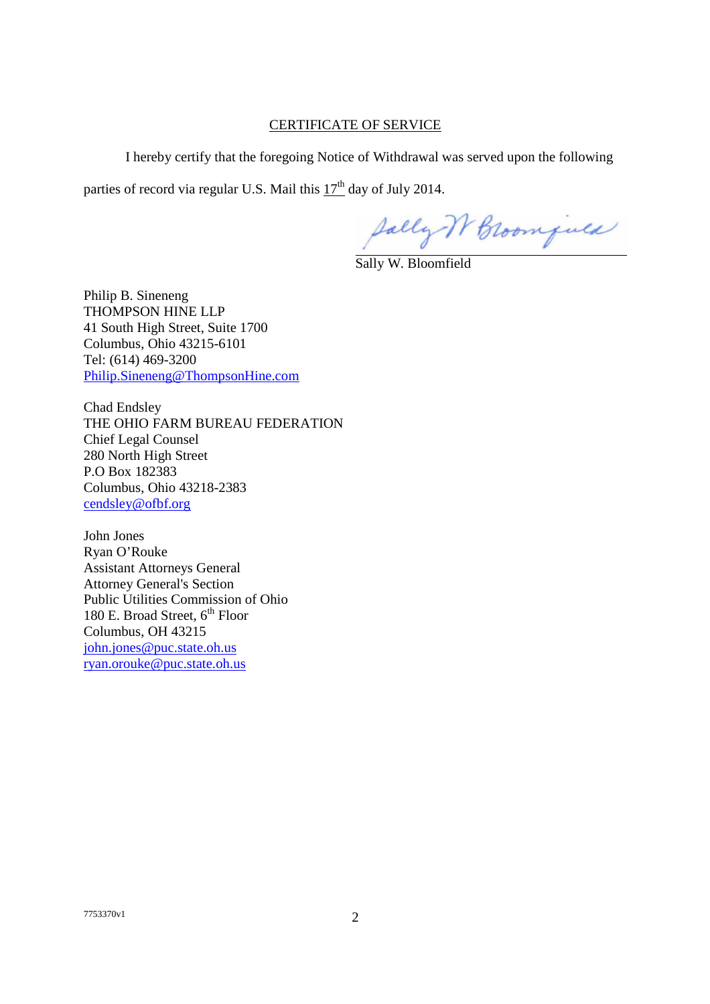## CERTIFICATE OF SERVICE

I hereby certify that the foregoing Notice of Withdrawal was served upon the following

parties of record via regular U.S. Mail this  $17<sup>th</sup>$  day of July 2014.

Sally IV Broomfuld

Sally W. Bloomfield

Philip B. Sineneng THOMPSON HINE LLP 41 South High Street, Suite 1700 Columbus, Ohio 43215-6101 Tel: (614) 469-3200 Philip.Sineneng@ThompsonHine.com

Chad Endsley THE OHIO FARM BUREAU FEDERATION Chief Legal Counsel 280 North High Street P.O Box 182383 Columbus, Ohio 43218-2383 cendsley@ofbf.org

John Jones Ryan O'Rouke Assistant Attorneys General Attorney General's Section Public Utilities Commission of Ohio 180 E. Broad Street,  $6<sup>th</sup>$  Floor Columbus, OH 43215 john.jones@puc.state.oh.us ryan.orouke@puc.state.oh.us